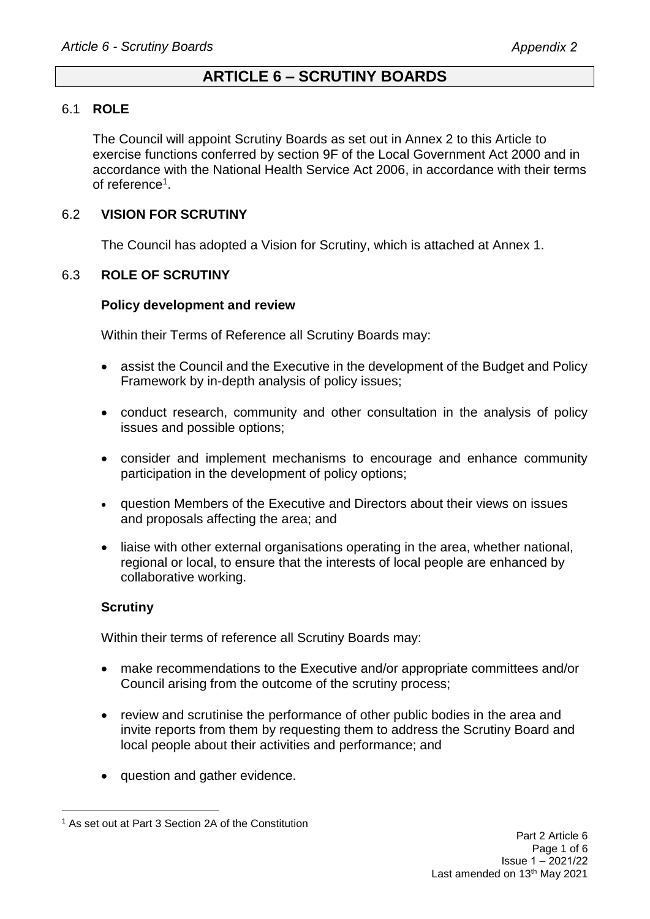# **ARTICLE 6 – SCRUTINY BOARDS**

### 6.1 **ROLE**

The Council will appoint Scrutiny Boards as set out in Annex 2 to this Article to exercise functions conferred by section 9F of the Local Government Act 2000 and in accordance with the National Health Service Act 2006, in accordance with their terms of reference<sup>1</sup>.

## 6.2 **VISION FOR SCRUTINY**

The Council has adopted a Vision for Scrutiny, which is attached at Annex 1.

### 6.3 **ROLE OF SCRUTINY**

#### **Policy development and review**

Within their Terms of Reference all Scrutiny Boards may:

- assist the Council and the Executive in the development of the Budget and Policy Framework by in-depth analysis of policy issues;
- conduct research, community and other consultation in the analysis of policy issues and possible options;
- consider and implement mechanisms to encourage and enhance community participation in the development of policy options;
- question Members of the Executive and Directors about their views on issues and proposals affecting the area; and
- liaise with other external organisations operating in the area, whether national, regional or local, to ensure that the interests of local people are enhanced by collaborative working.

### **Scrutiny**

Within their terms of reference all Scrutiny Boards may:

- make recommendations to the Executive and/or appropriate committees and/or Council arising from the outcome of the scrutiny process;
- review and scrutinise the performance of other public bodies in the area and invite reports from them by requesting them to address the Scrutiny Board and local people about their activities and performance; and
- question and gather evidence.

<sup>1</sup> As set out at Part 3 Section 2A of the Constitution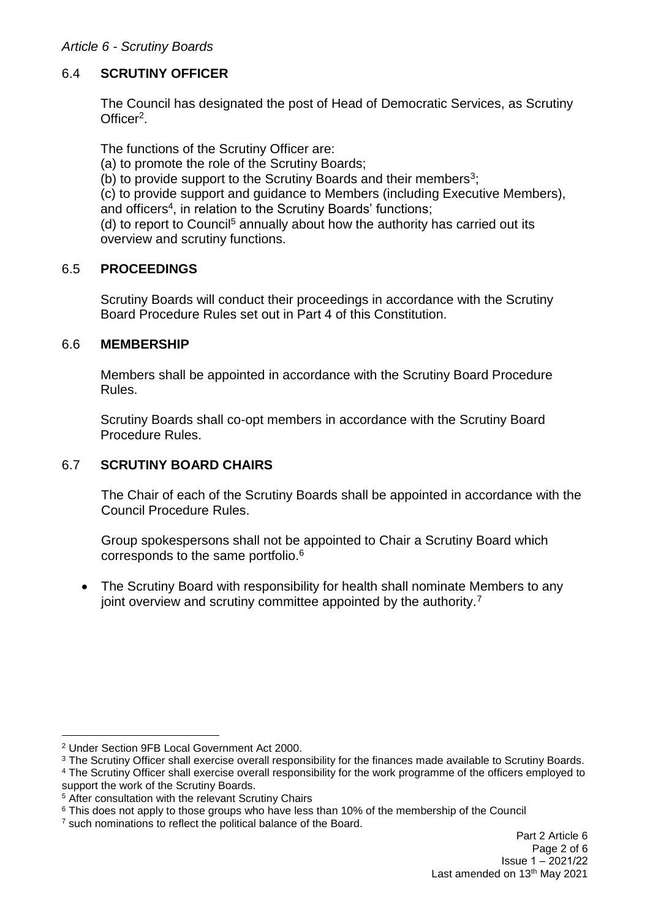### *Article 6 - Scrutiny Boards*

## 6.4 **SCRUTINY OFFICER**

The Council has designated the post of Head of Democratic Services, as Scrutiny Officer<sup>2</sup>.

The functions of the Scrutiny Officer are:

- (a) to promote the role of the Scrutiny Boards;
- (b) to provide support to the Scrutiny Boards and their members<sup>3</sup>;

(c) to provide support and guidance to Members (including Executive Members), and officers<sup>4</sup>, in relation to the Scrutiny Boards' functions;

(d) to report to Council<sup>5</sup> annually about how the authority has carried out its overview and scrutiny functions.

### 6.5 **PROCEEDINGS**

Scrutiny Boards will conduct their proceedings in accordance with the Scrutiny Board Procedure Rules set out in Part 4 of this Constitution.

### 6.6 **MEMBERSHIP**

Members shall be appointed in accordance with the Scrutiny Board Procedure Rules.

Scrutiny Boards shall co-opt members in accordance with the Scrutiny Board Procedure Rules.

# 6.7 **SCRUTINY BOARD CHAIRS**

The Chair of each of the Scrutiny Boards shall be appointed in accordance with the Council Procedure Rules.

Group spokespersons shall not be appointed to Chair a Scrutiny Board which corresponds to the same portfolio.<sup>6</sup>

• The Scrutiny Board with responsibility for health shall nominate Members to any joint overview and scrutiny committee appointed by the authority.<sup>7</sup>

<sup>2</sup> Under Section 9FB Local Government Act 2000.

<sup>&</sup>lt;sup>3</sup> The Scrutiny Officer shall exercise overall responsibility for the finances made available to Scrutiny Boards.

<sup>4</sup> The Scrutiny Officer shall exercise overall responsibility for the work programme of the officers employed to support the work of the Scrutiny Boards.

<sup>5</sup> After consultation with the relevant Scrutiny Chairs

<sup>&</sup>lt;sup>6</sup> This does not apply to those groups who have less than 10% of the membership of the Council

<sup>&</sup>lt;sup>7</sup> such nominations to reflect the political balance of the Board.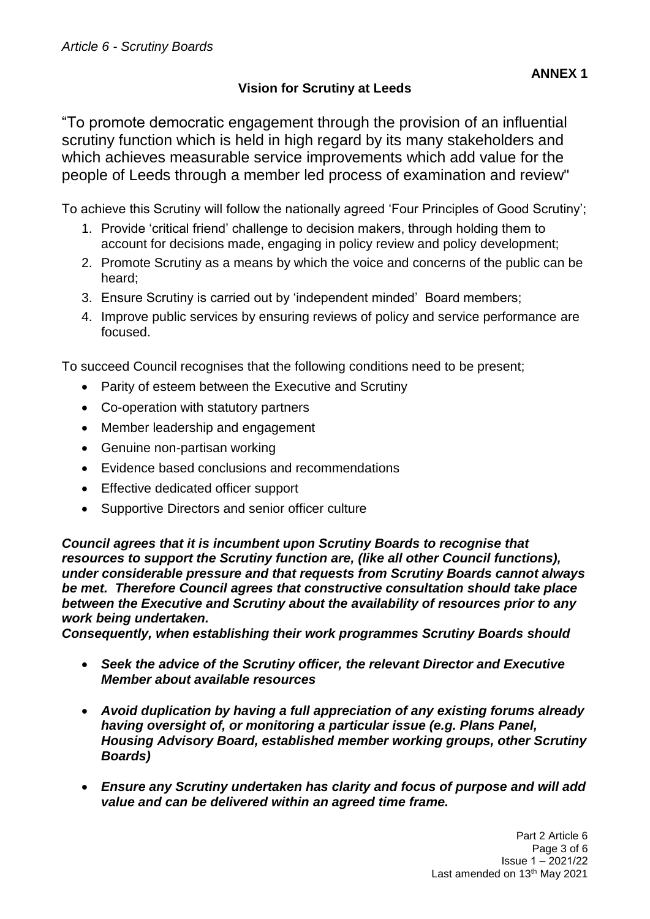# **Vision for Scrutiny at Leeds**

To achieve this Scrutiny will follow the nationally agreed 'Four Principles of Good Scrutiny';

- 1. Provide 'critical friend' challenge to decision makers, through holding them to account for decisions made, engaging in policy review and policy development;
- 2. Promote Scrutiny as a means by which the voice and concerns of the public can be heard;
- 3. Ensure Scrutiny is carried out by 'independent minded' Board members;
- 4. Improve public services by ensuring reviews of policy and service performance are focused.

To succeed Council recognises that the following conditions need to be present;

- Parity of esteem between the Executive and Scrutiny
- Co-operation with statutory partners
- Member leadership and engagement
- Genuine non-partisan working
- Evidence based conclusions and recommendations
- Effective dedicated officer support
- Supportive Directors and senior officer culture

*Council agrees that it is incumbent upon Scrutiny Boards to recognise that resources to support the Scrutiny function are, (like all other Council functions), under considerable pressure and that requests from Scrutiny Boards cannot always be met. Therefore Council agrees that constructive consultation should take place between the Executive and Scrutiny about the availability of resources prior to any work being undertaken.* 

*Consequently, when establishing their work programmes Scrutiny Boards should* 

- *Seek the advice of the Scrutiny officer, the relevant Director and Executive Member about available resources*
- *Avoid duplication by having a full appreciation of any existing forums already having oversight of, or monitoring a particular issue (e.g. Plans Panel, Housing Advisory Board, established member working groups, other Scrutiny Boards)*
- *Ensure any Scrutiny undertaken has clarity and focus of purpose and will add value and can be delivered within an agreed time frame.*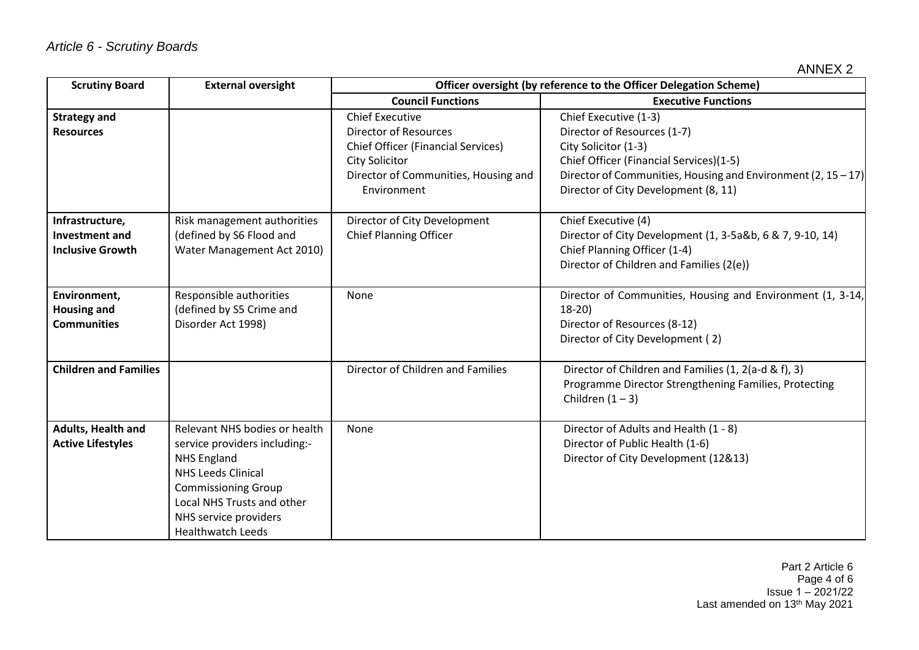| <b>Scrutiny Board</b>                                               | <b>External oversight</b>                                                                                                                                                                                                          | Officer oversight (by reference to the Officer Delegation Scheme)                                                                                                                   |                                                                                                                                                                                                                                     |
|---------------------------------------------------------------------|------------------------------------------------------------------------------------------------------------------------------------------------------------------------------------------------------------------------------------|-------------------------------------------------------------------------------------------------------------------------------------------------------------------------------------|-------------------------------------------------------------------------------------------------------------------------------------------------------------------------------------------------------------------------------------|
|                                                                     |                                                                                                                                                                                                                                    | <b>Council Functions</b>                                                                                                                                                            | <b>Executive Functions</b>                                                                                                                                                                                                          |
| <b>Strategy and</b><br><b>Resources</b>                             |                                                                                                                                                                                                                                    | <b>Chief Executive</b><br><b>Director of Resources</b><br><b>Chief Officer (Financial Services)</b><br><b>City Solicitor</b><br>Director of Communities, Housing and<br>Environment | Chief Executive (1-3)<br>Director of Resources (1-7)<br>City Solicitor (1-3)<br>Chief Officer (Financial Services)(1-5)<br>Director of Communities, Housing and Environment (2, $15 - 17$ )<br>Director of City Development (8, 11) |
| Infrastructure,<br><b>Investment and</b><br><b>Inclusive Growth</b> | Risk management authorities<br>(defined by S6 Flood and<br>Water Management Act 2010)                                                                                                                                              | Director of City Development<br><b>Chief Planning Officer</b>                                                                                                                       | Chief Executive (4)<br>Director of City Development (1, 3-5a&b, 6 & 7, 9-10, 14)<br>Chief Planning Officer (1-4)<br>Director of Children and Families (2(e))                                                                        |
| Environment,<br><b>Housing and</b><br><b>Communities</b>            | Responsible authorities<br>(defined by S5 Crime and<br>Disorder Act 1998)                                                                                                                                                          | None                                                                                                                                                                                | Director of Communities, Housing and Environment (1, 3-14,<br>$18-20$<br>Director of Resources (8-12)<br>Director of City Development (2)                                                                                           |
| <b>Children and Families</b>                                        |                                                                                                                                                                                                                                    | Director of Children and Families                                                                                                                                                   | Director of Children and Families (1, 2(a-d & f), 3)<br>Programme Director Strengthening Families, Protecting<br>Children $(1 - 3)$                                                                                                 |
| Adults, Health and<br><b>Active Lifestyles</b>                      | Relevant NHS bodies or health<br>service providers including:-<br><b>NHS England</b><br><b>NHS Leeds Clinical</b><br><b>Commissioning Group</b><br>Local NHS Trusts and other<br>NHS service providers<br><b>Healthwatch Leeds</b> | None                                                                                                                                                                                | Director of Adults and Health (1 - 8)<br>Director of Public Health (1-6)<br>Director of City Development (12&13)                                                                                                                    |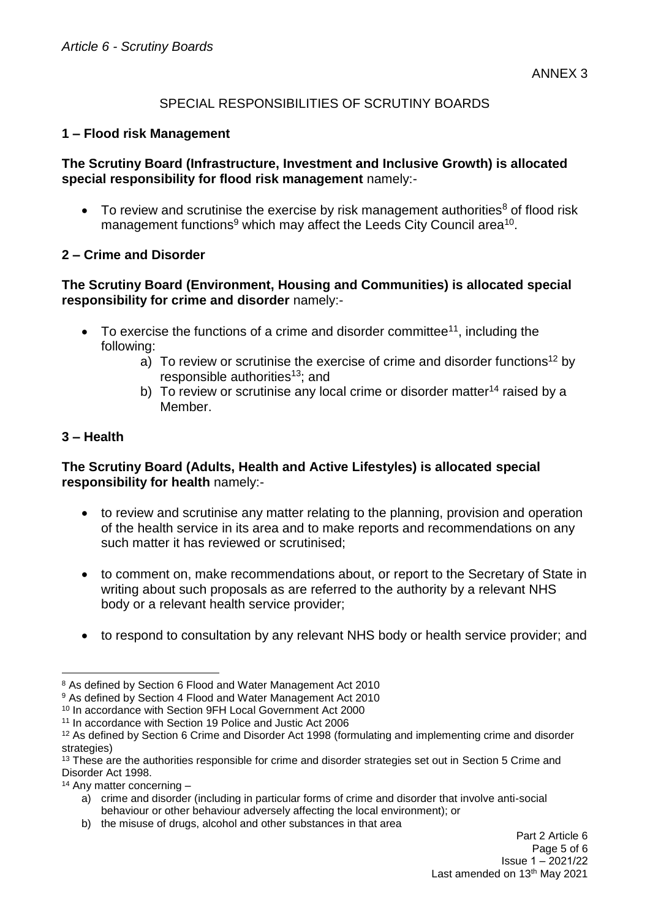## SPECIAL RESPONSIBILITIES OF SCRUTINY BOARDS

### **1 – Flood risk Management**

### **The Scrutiny Board (Infrastructure, Investment and Inclusive Growth) is allocated special responsibility for flood risk management** namely:-

 $\bullet$  To review and scrutinise the exercise by risk management authorities<sup>8</sup> of flood risk management functions<sup>9</sup> which may affect the Leeds City Council area<sup>10</sup>.

### **2 – Crime and Disorder**

## **The Scrutiny Board (Environment, Housing and Communities) is allocated special responsibility for crime and disorder** namely:-

- $\bullet$  To exercise the functions of a crime and disorder committee<sup>11</sup>, including the following:
	- a) To review or scrutinise the exercise of crime and disorder functions<sup>12</sup> by responsible authorities<sup>13</sup>; and
	- b) To review or scrutinise any local crime or disorder matter<sup>14</sup> raised by a Member.

## **3 – Health**

## **The Scrutiny Board (Adults, Health and Active Lifestyles) is allocated special responsibility for health** namely:-

- to review and scrutinise any matter relating to the planning, provision and operation of the health service in its area and to make reports and recommendations on any such matter it has reviewed or scrutinised;
- to comment on, make recommendations about, or report to the Secretary of State in writing about such proposals as are referred to the authority by a relevant NHS body or a relevant health service provider;
- to respond to consultation by any relevant NHS body or health service provider; and

b) the misuse of drugs, alcohol and other substances in that area

<sup>8</sup> As defined by Section 6 Flood and Water Management Act 2010

<sup>&</sup>lt;sup>9</sup> As defined by Section 4 Flood and Water Management Act 2010

<sup>10</sup> In accordance with Section 9FH Local Government Act 2000

<sup>11</sup> In accordance with Section 19 Police and Justic Act 2006

<sup>12</sup> As defined by Section 6 Crime and Disorder Act 1998 (formulating and implementing crime and disorder strategies)

<sup>&</sup>lt;sup>13</sup> These are the authorities responsible for crime and disorder strategies set out in Section 5 Crime and Disorder Act 1998.

<sup>14</sup> Any matter concerning –

a) crime and disorder (including in particular forms of crime and disorder that involve anti-social behaviour or other behaviour adversely affecting the local environment); or